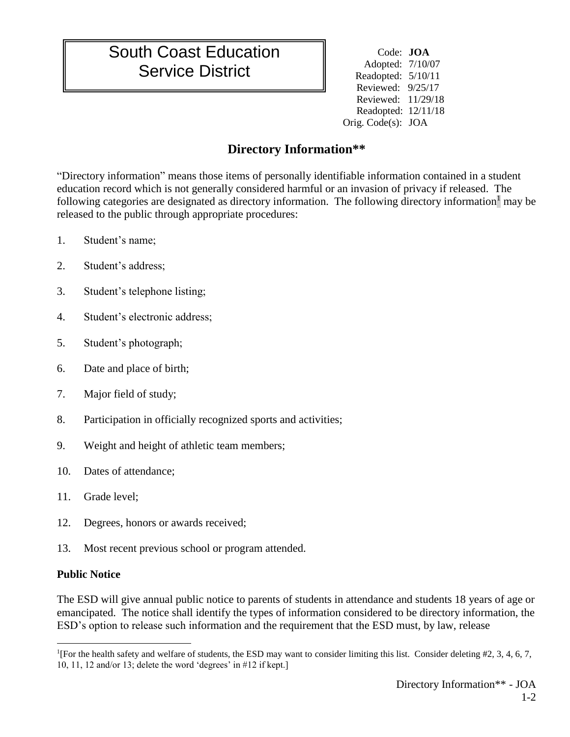## South Coast Education Service District

Code: **JOA** Adopted: 7/10/07 Readopted: 5/10/11 Reviewed: 9/25/17 Reviewed: 11/29/18 Readopted: 12/11/18 Orig. Code(s): JOA

## **Directory Information\*\***

"Directory information" means those items of personally identifiable information contained in a student education record which is not generally considered harmful or an invasion of privacy if released. The following categories are designated as directory information. The following directory information<sup>1</sup> may be released to the public through appropriate procedures:

- 1. Student's name;
- 2. Student's address;
- 3. Student's telephone listing;
- 4. Student's electronic address;
- 5. Student's photograph;
- 6. Date and place of birth;
- 7. Major field of study;
- 8. Participation in officially recognized sports and activities;
- 9. Weight and height of athletic team members;
- 10. Dates of attendance;
- 11. Grade level;
- 12. Degrees, honors or awards received;
- 13. Most recent previous school or program attended.

## **Public Notice**

 $\overline{a}$ 

The ESD will give annual public notice to parents of students in attendance and students 18 years of age or emancipated. The notice shall identify the types of information considered to be directory information, the ESD's option to release such information and the requirement that the ESD must, by law, release

<sup>1</sup> [For the health safety and welfare of students, the ESD may want to consider limiting this list. Consider deleting #2, 3, 4, 6, 7, 10, 11, 12 and/or 13; delete the word 'degrees' in #12 if kept.]